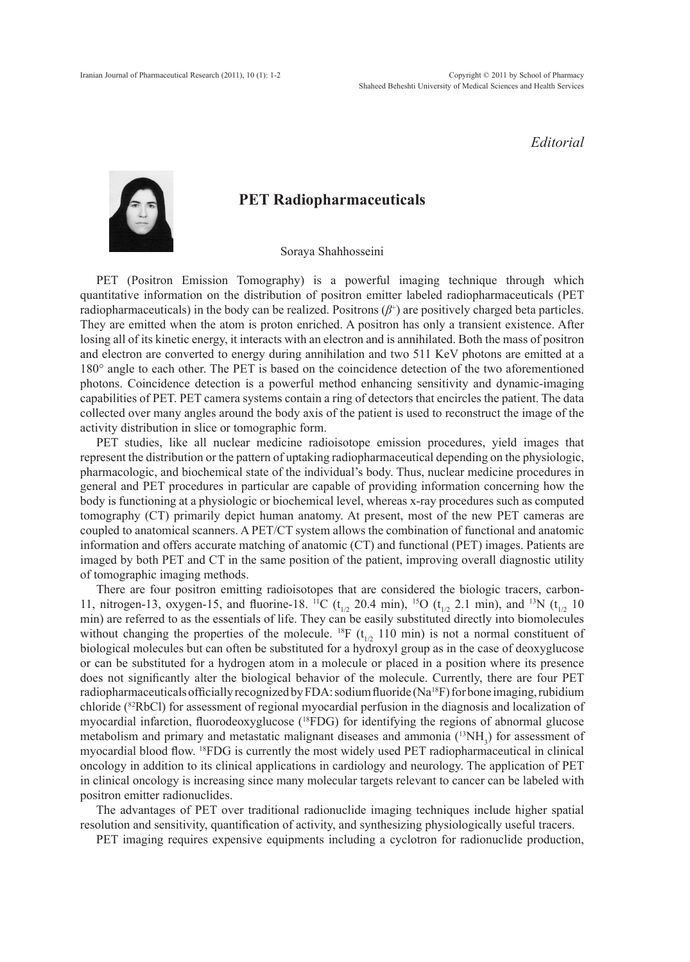## *Editorial*



## **PET Radiopharmaceuticals**

Soraya Shahhosseini

PET (Positron Emission Tomography) is a powerful imaging technique through which quantitative information on the distribution of positron emitter labeled radiopharmaceuticals (PET radiopharmaceuticals) in the body can be realized. Positrons  $(\beta^+)$  are positively charged beta particles. They are emitted when the atom is proton enriched. A positron has only a transient existence. After losing all of its kinetic energy, it interacts with an electron and is annihilated. Both the mass of positron and electron are converted to energy during annihilation and two 511 KeV photons are emitted at a 180° angle to each other. The PET is based on the coincidence detection of the two aforementioned photons. Coincidence detection is a powerful method enhancing sensitivity and dynamic-imaging capabilities of PET. PET camera systems contain a ring of detectors that encircles the patient. The data collected over many angles around the body axis of the patient is used to reconstruct the image of the activity distribution in slice or tomographic form.

PET studies, like all nuclear medicine radioisotope emission procedures, yield images that represent the distribution or the pattern of uptaking radiopharmaceutical depending on the physiologic, pharmacologic, and biochemical state of the individual's body. Thus, nuclear medicine procedures in general and PET procedures in particular are capable of providing information concerning how the body is functioning at a physiologic or biochemical level, whereas x-ray procedures such as computed tomography (CT) primarily depict human anatomy. At present, most of the new PET cameras are coupled to anatomical scanners. A PET/CT system allows the combination of functional and anatomic information and offers accurate matching of anatomic (CT) and functional (PET) images. Patients are imaged by both PET and CT in the same position of the patient, improving overall diagnostic utility of tomographic imaging methods.

There are four positron emitting radioisotopes that are considered the biologic tracers, carbon-11, nitrogen-13, oxygen-15, and fluorine-18. <sup>11</sup>C ( $t_{1/2}$  20.4 min), <sup>15</sup>O ( $t_{1/2}$  2.1 min), and <sup>13</sup>N ( $t_{1/2}$  10 min) are referred to as the essentials of life. They can be easily substituted directly into biomolecules without changing the properties of the molecule. <sup>18</sup>F ( $t_{1/2}$  110 min) is not a normal constituent of biological molecules but can often be substituted for a hydroxyl group as in the case of deoxyglucose or can be substituted for a hydrogen atom in a molecule or placed in a position where its presence does not significantly alter the biological behavior of the molecule. Currently, there are four PET radiopharmaceuticals officially recognized by FDA: sodium fluoride (Na<sup>18</sup>F) for bone imaging, rubidium chloride (82RbCl) for assessment of regional myocardial perfusion in the diagnosis and localization of myocardial infarction, fluorodeoxyglucose (18FDG) for identifying the regions of abnormal glucose metabolism and primary and metastatic malignant diseases and ammonia  $(^{13}NH_3)$  for assessment of myocardial blood flow. 18FDG is currently the most widely used PET radiopharmaceutical in clinical oncology in addition to its clinical applications in cardiology and neurology. The application of PET in clinical oncology is increasing since many molecular targets relevant to cancer can be labeled with positron emitter radionuclides.

The advantages of PET over traditional radionuclide imaging techniques include higher spatial resolution and sensitivity, quantification of activity, and synthesizing physiologically useful tracers.

PET imaging requires expensive equipments including a cyclotron for radionuclide production,